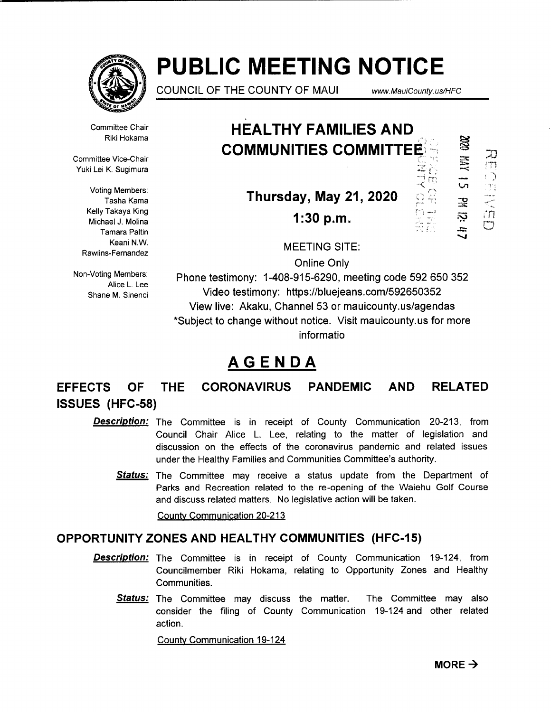

# **PUBLIC MEETING NOTICE**

COUNCIL OF THE COUNTY OF MAUl www. MauiCounty. us/HFC

 $\sum_{i=1}^{\infty}$ 

ž

..<br>.. .<br>.. . ...<br>በ1

Committee Chair Riki Hokama

Committee Vice-Chair Yuki Lei K. Sugimura

> Voting Members: Tasha Kama Kelly Takaya King Michael J. Molina Tamara Paltin Keani N.W. Rawlins-Fernandez

Non-Voting Members: Alice L. Lee Shane M. Sinenci

# **HEAL THY FAMILIES AND COMMUNITIES COMMITTEE**

**Thursday, May 21, 2020 1:30 p.m.** 

 $\tilde{C}$  $\overline{\Gamma^*_{\lambda}}$  $\mathbb{R}^2$  $\tilde{\gamma}$  . Ģ

XXX

**ORIGINAL** 

刀  $TT$ 

 $\cup$ 

MEETING SITE:

Online Only

Phone testimony: 1-408-915-6290, meeting code 592 650 352 Video testimony: https://bluejeans.com/592650352 View live: Akaku, Channel 53 or mauicounty.us/agendas \*Subject to change without notice. Visit mauicounty.us for more informatio

# **AGENDA**

**EFFECTS OF THE CORONAVIRUS PANDEMIC AND RELATED ISSUES (HFC-58)** 

- **Description:** The Committee is in receipt of County Communication 20-213, from Council Chair Alice L. Lee, relating to the matter of legislation and discussion on the effects of the coronavirus pandemic and related issues under the Healthy Families and Communities Committee's authority.
	- **Status:** The Committee may receive a status update from the Department of Parks and Recreation related to the re-opening of the Waiehu Golf Course and discuss related matters. No legislative action will be taken.

County Communication 20-213

## **OPPORTUNITY ZONES AND HEAL THY COMMUNITIES (HFC-15)**

- **Description:** The Committee is in receipt of County Communication 19-124, from Councilmember Riki Hokama, relating to Opportunity Zones and Healthy Communities.
	- **Status:** The Committee may discuss the matter. The Committee may also consider the filing of County Communication 19-124 and other related action.

County Communication 19-124